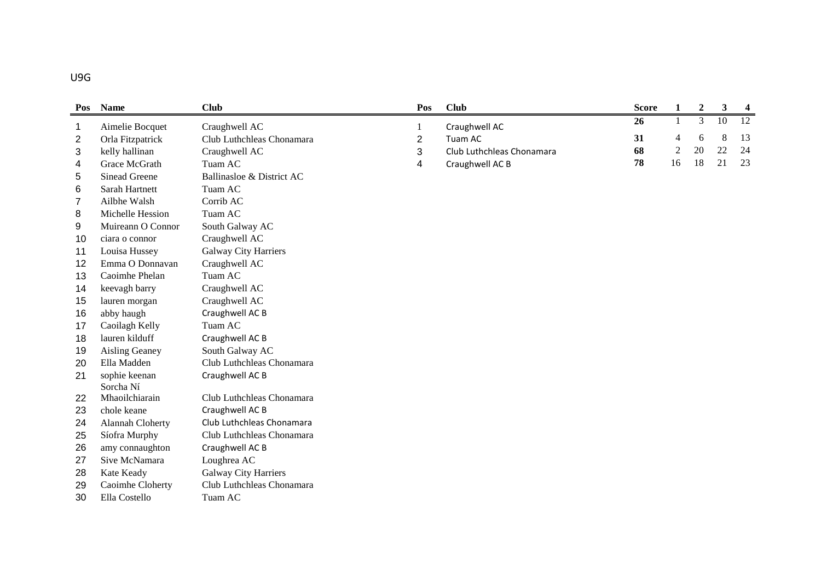| Pos            | <b>Name</b>                 | <b>Club</b>                 | Pos            | <b>Club</b>               | <b>Score</b> | $\mathbf{1}$   | $\boldsymbol{2}$ | $\mathbf{3}$ | $\overline{\mathbf{4}}$ |
|----------------|-----------------------------|-----------------------------|----------------|---------------------------|--------------|----------------|------------------|--------------|-------------------------|
| 1              | Aimelie Bocquet             | Craughwell AC               | $\mathbf{1}$   | Craughwell AC             | 26           | 1              | 3                | 10           | 12                      |
| $\overline{2}$ | Orla Fitzpatrick            | Club Luthchleas Chonamara   | $\overline{2}$ | Tuam AC                   | 31           | 4              | 6                | 8            | 13                      |
| 3              | kelly hallinan              | Craughwell AC               | 3              | Club Luthchleas Chonamara | 68           | $\overline{2}$ | 20               | 22           | 24                      |
| 4              | Grace McGrath               | Tuam AC                     | 4              | Craughwell AC B           | 78           | 16             | 18               | 21           | 23                      |
| $\sqrt{5}$     | <b>Sinead Greene</b>        | Ballinasloe & District AC   |                |                           |              |                |                  |              |                         |
| 6              | Sarah Hartnett              | Tuam AC                     |                |                           |              |                |                  |              |                         |
| 7              | Ailbhe Walsh                | Corrib AC                   |                |                           |              |                |                  |              |                         |
| 8              | Michelle Hession            | Tuam AC                     |                |                           |              |                |                  |              |                         |
| 9              | Muireann O Connor           | South Galway AC             |                |                           |              |                |                  |              |                         |
| 10             | ciara o connor              | Craughwell AC               |                |                           |              |                |                  |              |                         |
| 11             | Louisa Hussey               | <b>Galway City Harriers</b> |                |                           |              |                |                  |              |                         |
| 12             | Emma O Donnavan             | Craughwell AC               |                |                           |              |                |                  |              |                         |
| 13             | Caoimhe Phelan              | Tuam AC                     |                |                           |              |                |                  |              |                         |
| 14             | keevagh barry               | Craughwell AC               |                |                           |              |                |                  |              |                         |
| 15             | lauren morgan               | Craughwell AC               |                |                           |              |                |                  |              |                         |
| 16             | abby haugh                  | Craughwell AC B             |                |                           |              |                |                  |              |                         |
| 17             | Caoilagh Kelly              | Tuam AC                     |                |                           |              |                |                  |              |                         |
| 18             | lauren kilduff              | Craughwell AC B             |                |                           |              |                |                  |              |                         |
| 19             | Aisling Geaney              | South Galway AC             |                |                           |              |                |                  |              |                         |
| 20             | Ella Madden                 | Club Luthchleas Chonamara   |                |                           |              |                |                  |              |                         |
| 21             | sophie keenan               | Craughwell AC B             |                |                           |              |                |                  |              |                         |
|                | Sorcha Ní<br>Mhaoilchiarain | Club Luthchleas Chonamara   |                |                           |              |                |                  |              |                         |
| 22             |                             | Craughwell AC B             |                |                           |              |                |                  |              |                         |
| 23             | chole keane                 | Club Luthchleas Chonamara   |                |                           |              |                |                  |              |                         |
| 24             | Alannah Cloherty            |                             |                |                           |              |                |                  |              |                         |
| 25             | Síofra Murphy               | Club Luthchleas Chonamara   |                |                           |              |                |                  |              |                         |
| 26             | amy connaughton             | Craughwell AC B             |                |                           |              |                |                  |              |                         |
| 27             | Sive McNamara               | Loughrea AC                 |                |                           |              |                |                  |              |                         |
| 28             | Kate Keady                  | <b>Galway City Harriers</b> |                |                           |              |                |                  |              |                         |
| 29             | Caoimhe Cloherty            | Club Luthchleas Chonamara   |                |                           |              |                |                  |              |                         |
| 30             | Ella Costello               | Tuam AC                     |                |                           |              |                |                  |              |                         |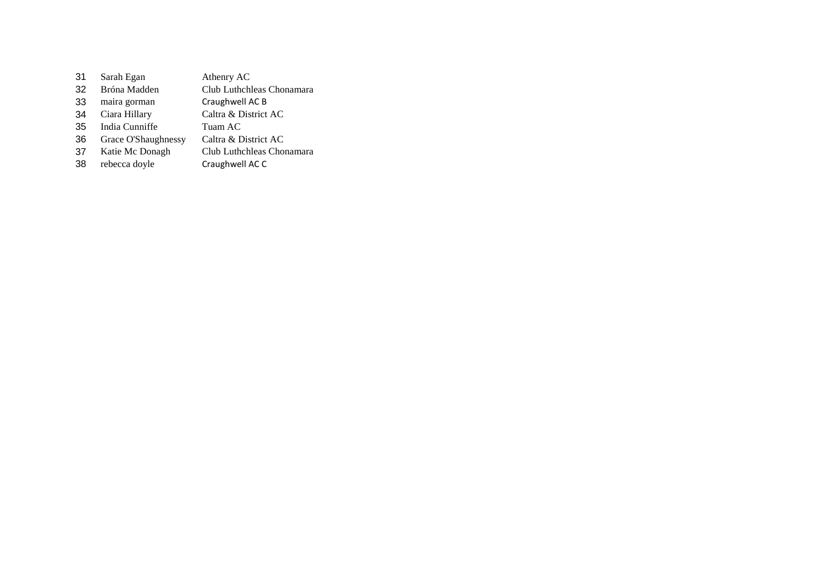| 31 | Sarah Egan          | Athenry AC                |
|----|---------------------|---------------------------|
| 32 | Bróna Madden        | Club Luthchleas Chonamara |
| 33 | maira gorman        | Craughwell AC B           |
| 34 | Ciara Hillary       | Caltra & District AC      |
| 35 | India Cunniffe      | Tuam AC                   |
| 36 | Grace O'Shaughnessy | Caltra & District AC      |
| 37 | Katie Mc Donagh     | Club Luthchleas Chonamara |
| 38 | rebecca doyle       | Craughwell AC C           |
|    |                     |                           |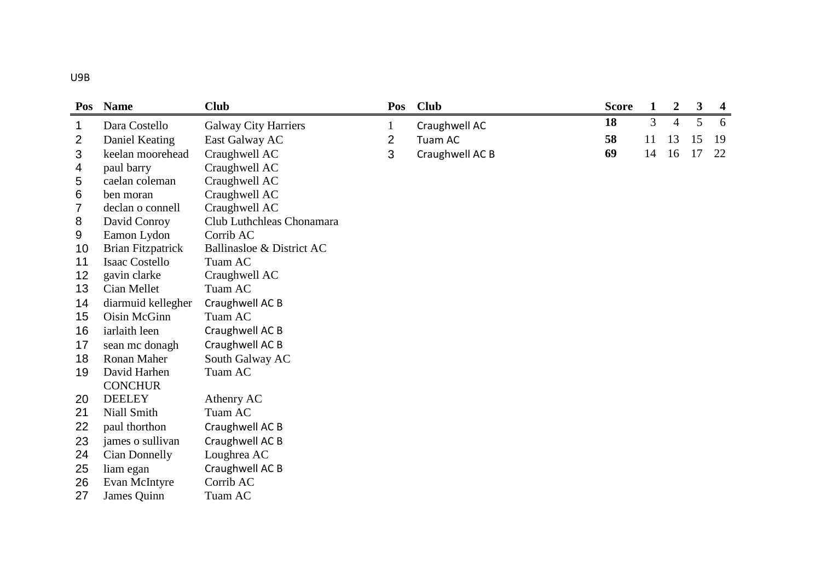| Pos | <b>Name</b>              | <b>Club</b>                 | Pos          | <b>Club</b>     | <b>Score</b> | 1  | $\boldsymbol{2}$ | 3  | $\boldsymbol{4}$ |
|-----|--------------------------|-----------------------------|--------------|-----------------|--------------|----|------------------|----|------------------|
| 1   | Dara Costello            | <b>Galway City Harriers</b> | $\mathbf{1}$ | Craughwell AC   | 18           | 3  | $\overline{4}$   | 5  | 6                |
| 2   | Daniel Keating           | East Galway AC              | 2            | Tuam AC         | 58           | 11 | 13               | 15 | 19               |
| 3   | keelan moorehead         | Craughwell AC               | 3            | Craughwell AC B | 69           | 14 | 16               | 17 | 22               |
| 4   | paul barry               | Craughwell AC               |              |                 |              |    |                  |    |                  |
| 5   | caelan coleman           | Craughwell AC               |              |                 |              |    |                  |    |                  |
| 6   | ben moran                | Craughwell AC               |              |                 |              |    |                  |    |                  |
| 7   | declan o connell         | Craughwell AC               |              |                 |              |    |                  |    |                  |
| 8   | David Conroy             | Club Luthchleas Chonamara   |              |                 |              |    |                  |    |                  |
| 9   | Eamon Lydon              | Corrib AC                   |              |                 |              |    |                  |    |                  |
| 10  | <b>Brian Fitzpatrick</b> | Ballinasloe & District AC   |              |                 |              |    |                  |    |                  |
| 11  | <b>Isaac Costello</b>    | Tuam AC                     |              |                 |              |    |                  |    |                  |
| 12  | gavin clarke             | Craughwell AC               |              |                 |              |    |                  |    |                  |
| 13  | Cian Mellet              | Tuam AC                     |              |                 |              |    |                  |    |                  |
| 14  | diarmuid kellegher       | Craughwell AC B             |              |                 |              |    |                  |    |                  |
| 15  | Oisin McGinn             | Tuam AC                     |              |                 |              |    |                  |    |                  |
| 16  | iarlaith leen            | Craughwell AC B             |              |                 |              |    |                  |    |                  |
| 17  | sean mc donagh           | Craughwell AC B             |              |                 |              |    |                  |    |                  |
| 18  | Ronan Maher              | South Galway AC             |              |                 |              |    |                  |    |                  |
| 19  | David Harhen             | Tuam AC                     |              |                 |              |    |                  |    |                  |
|     | <b>CONCHUR</b>           |                             |              |                 |              |    |                  |    |                  |
| 20  | <b>DEELEY</b>            | Athenry AC                  |              |                 |              |    |                  |    |                  |
| 21  | Niall Smith              | Tuam AC                     |              |                 |              |    |                  |    |                  |
| 22  | paul thorthon            | Craughwell AC B             |              |                 |              |    |                  |    |                  |
| 23  | james o sullivan         | Craughwell AC B             |              |                 |              |    |                  |    |                  |
| 24  | Cian Donnelly            | Loughrea AC                 |              |                 |              |    |                  |    |                  |
| 25  | liam egan                | Craughwell AC B             |              |                 |              |    |                  |    |                  |
| 26  | Evan McIntyre            | Corrib AC                   |              |                 |              |    |                  |    |                  |
| 27  | James Quinn              | Tuam AC                     |              |                 |              |    |                  |    |                  |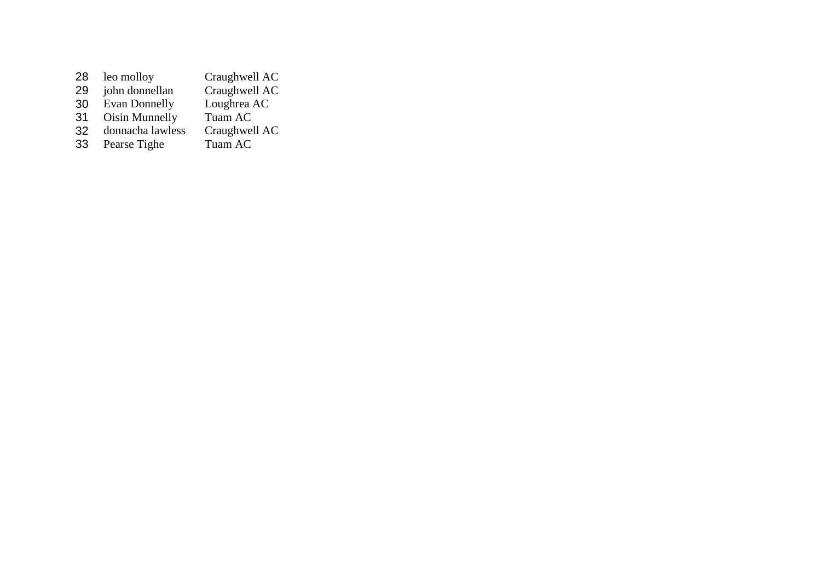| 28 | leo molloy           | Craughwell AC |
|----|----------------------|---------------|
| 29 | john donnellan       | Craughwell AC |
| 30 | <b>Evan Donnelly</b> | Loughrea AC   |
| 31 | Oisin Munnelly       | Tuam AC       |
| 32 | donnacha lawless     | Craughwell AC |
| 33 | Pearse Tighe         | Tuam AC       |
|    |                      |               |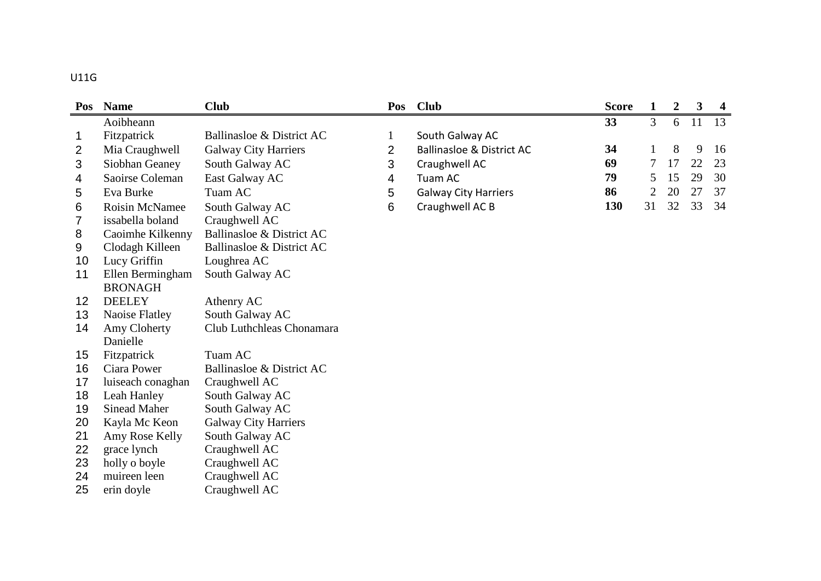### U11G

| Pos | <b>Name</b>         | <b>Club</b>                 | Pos          | <b>Club</b>                          | <b>Score</b> | $\mathbf{1}$   | $\boldsymbol{2}$ | $\mathbf{3}$ | $\overline{\mathbf{4}}$ |
|-----|---------------------|-----------------------------|--------------|--------------------------------------|--------------|----------------|------------------|--------------|-------------------------|
|     | Aoibheann           |                             |              |                                      | 33           | 3              | 6                | 11           | 13                      |
| 1   | Fitzpatrick         | Ballinasloe & District AC   | $\mathbf{1}$ | South Galway AC                      |              |                |                  |              |                         |
| 2   | Mia Craughwell      | <b>Galway City Harriers</b> | 2            | <b>Ballinasloe &amp; District AC</b> | 34           | 1              | 8                | 9            | 16                      |
| 3   | Siobhan Geaney      | South Galway AC             | 3            | Craughwell AC                        | 69           | 7              | 17               | 22           | 23                      |
| 4   | Saoirse Coleman     | East Galway AC              | 4            | Tuam AC                              | 79           | 5              | 15               | 29           | 30                      |
| 5   | Eva Burke           | Tuam AC                     | 5            | <b>Galway City Harriers</b>          | 86           | $\overline{2}$ | 20               | 27           | 37                      |
| 6   | Roisin McNamee      | South Galway AC             | 6            | Craughwell AC B                      | 130          | 31             | 32               | 33           | 34                      |
| 7   | issabella boland    | Craughwell AC               |              |                                      |              |                |                  |              |                         |
| 8   | Caoimhe Kilkenny    | Ballinasloe & District AC   |              |                                      |              |                |                  |              |                         |
| 9   | Clodagh Killeen     | Ballinasloe & District AC   |              |                                      |              |                |                  |              |                         |
| 10  | Lucy Griffin        | Loughrea AC                 |              |                                      |              |                |                  |              |                         |
| 11  | Ellen Bermingham    | South Galway AC             |              |                                      |              |                |                  |              |                         |
|     | <b>BRONAGH</b>      |                             |              |                                      |              |                |                  |              |                         |
| 12  | <b>DEELEY</b>       | Athenry AC                  |              |                                      |              |                |                  |              |                         |
| 13  | Naoise Flatley      | South Galway AC             |              |                                      |              |                |                  |              |                         |
| 14  | Amy Cloherty        | Club Luthchleas Chonamara   |              |                                      |              |                |                  |              |                         |
|     | Danielle            |                             |              |                                      |              |                |                  |              |                         |
| 15  | Fitzpatrick         | Tuam AC                     |              |                                      |              |                |                  |              |                         |
| 16  | Ciara Power         | Ballinasloe & District AC   |              |                                      |              |                |                  |              |                         |
| 17  | luiseach conaghan   | Craughwell AC               |              |                                      |              |                |                  |              |                         |
| 18  | Leah Hanley         | South Galway AC             |              |                                      |              |                |                  |              |                         |
| 19  | <b>Sinead Maher</b> | South Galway AC             |              |                                      |              |                |                  |              |                         |
| 20  | Kayla Mc Keon       | <b>Galway City Harriers</b> |              |                                      |              |                |                  |              |                         |
| 21  | Amy Rose Kelly      | South Galway AC             |              |                                      |              |                |                  |              |                         |
| 22  | grace lynch         | Craughwell AC               |              |                                      |              |                |                  |              |                         |
| 23  | holly o boyle       | Craughwell AC               |              |                                      |              |                |                  |              |                         |
| 24  | muireen leen        | Craughwell AC               |              |                                      |              |                |                  |              |                         |
| 25  | erin doyle          | Craughwell AC               |              |                                      |              |                |                  |              |                         |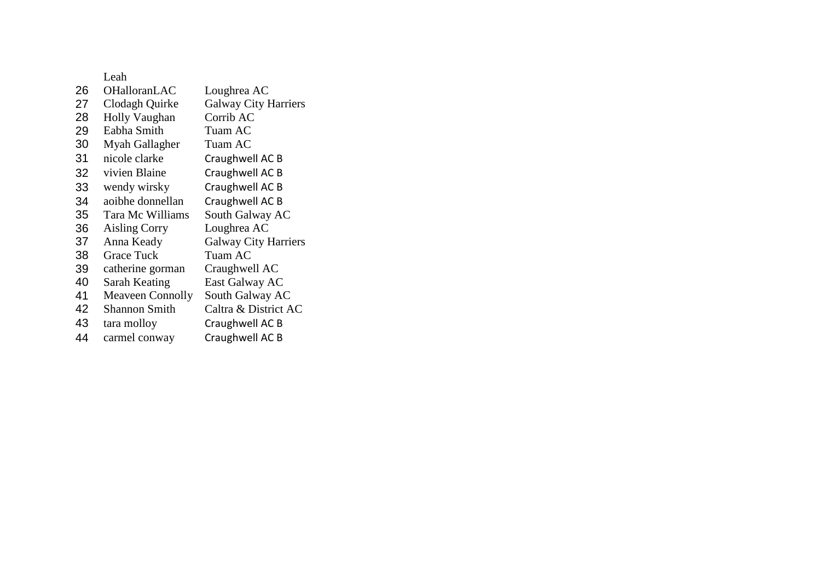| 26 | <b>OHalloranLAC</b>     | Loughrea AC                 |
|----|-------------------------|-----------------------------|
| 27 | Clodagh Quirke          | <b>Galway City Harriers</b> |
| 28 | <b>Holly Vaughan</b>    | Corrib AC                   |
| 29 | Eabha Smith             | Tuam AC                     |
| 30 | Myah Gallagher          | Tuam AC                     |
| 31 | nicole clarke           | Craughwell AC B             |
| 32 | vivien Blaine           | Craughwell AC B             |
| 33 | wendy wirsky            | Craughwell AC B             |
| 34 | aoibhe donnellan        | Craughwell AC B             |
| 35 | Tara Mc Williams        | South Galway AC             |
| 36 | <b>Aisling Corry</b>    | Loughrea AC                 |
| 37 | Anna Keady              | <b>Galway City Harriers</b> |
| 38 | Grace Tuck              | Tuam AC                     |
| 39 | catherine gorman        | Craughwell AC               |
| 40 | Sarah Keating           | East Galway AC              |
| 41 | <b>Meaveen Connolly</b> | South Galway AC             |
| 42 | Shannon Smith           | Caltra & District AC        |
| 43 | tara molloy             | Craughwell AC B             |
| 44 | carmel conway           | Craughwell AC B             |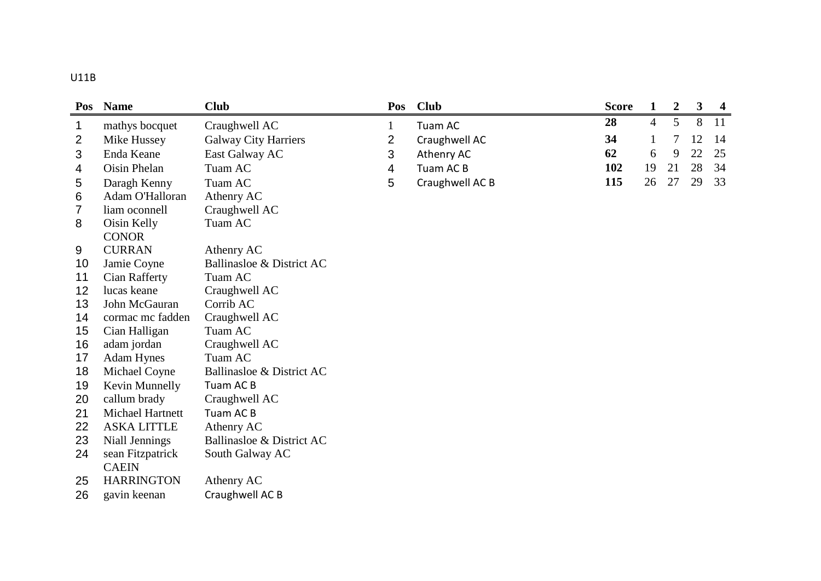| ×<br>۰. |  |  |
|---------|--|--|

| Pos            | <b>Name</b>        | <b>Club</b>                 | Pos          | <b>Club</b>     | <b>Score</b> | 1              | $\overline{2}$ | $\overline{\mathbf{3}}$ | $\overline{4}$ |
|----------------|--------------------|-----------------------------|--------------|-----------------|--------------|----------------|----------------|-------------------------|----------------|
| 1              | mathys bocquet     | Craughwell AC               | $\mathbf{1}$ | Tuam AC         | 28           | $\overline{4}$ | 5              | 8                       | 11             |
| $\overline{2}$ | Mike Hussey        | <b>Galway City Harriers</b> | 2            | Craughwell AC   | 34           | $\mathbf{1}$   | 7              | 12                      | 14             |
| 3              | Enda Keane         | East Galway AC              | 3            | Athenry AC      | 62           | 6              | 9              | 22                      | 25             |
| 4              | Oisin Phelan       | Tuam AC                     | 4            | Tuam AC B       | 102          | 19             | 21             | 28                      | 34             |
| 5              | Daragh Kenny       | Tuam AC                     | 5            | Craughwell AC B | 115          | 26             | 27             | 29                      | 33             |
| 6              | Adam O'Halloran    | Athenry AC                  |              |                 |              |                |                |                         |                |
| 7              | liam oconnell      | Craughwell AC               |              |                 |              |                |                |                         |                |
| 8              | Oisin Kelly        | Tuam AC                     |              |                 |              |                |                |                         |                |
|                | <b>CONOR</b>       |                             |              |                 |              |                |                |                         |                |
| 9              | <b>CURRAN</b>      | Athenry AC                  |              |                 |              |                |                |                         |                |
| 10             | Jamie Coyne        | Ballinasloe & District AC   |              |                 |              |                |                |                         |                |
| 11             | Cian Rafferty      | Tuam AC                     |              |                 |              |                |                |                         |                |
| 12             | lucas keane        | Craughwell AC               |              |                 |              |                |                |                         |                |
| 13             | John McGauran      | Corrib AC                   |              |                 |              |                |                |                         |                |
| 14             | cormac mc fadden   | Craughwell AC               |              |                 |              |                |                |                         |                |
| 15             | Cian Halligan      | Tuam AC                     |              |                 |              |                |                |                         |                |
| 16             | adam jordan        | Craughwell AC               |              |                 |              |                |                |                         |                |
| 17             | <b>Adam Hynes</b>  | Tuam AC                     |              |                 |              |                |                |                         |                |
| 18             | Michael Coyne      | Ballinasloe & District AC   |              |                 |              |                |                |                         |                |
| 19             | Kevin Munnelly     | Tuam AC B                   |              |                 |              |                |                |                         |                |
| 20             | callum brady       | Craughwell AC               |              |                 |              |                |                |                         |                |
| 21             | Michael Hartnett   | Tuam AC B                   |              |                 |              |                |                |                         |                |
| 22             | <b>ASKA LITTLE</b> | Athenry AC                  |              |                 |              |                |                |                         |                |
| 23             | Niall Jennings     | Ballinasloe & District AC   |              |                 |              |                |                |                         |                |
| 24             | sean Fitzpatrick   | South Galway AC             |              |                 |              |                |                |                         |                |
|                | <b>CAEIN</b>       |                             |              |                 |              |                |                |                         |                |
| 25             | <b>HARRINGTON</b>  | Athenry AC                  |              |                 |              |                |                |                         |                |
| 26             | gavin keenan       | Craughwell AC B             |              |                 |              |                |                |                         |                |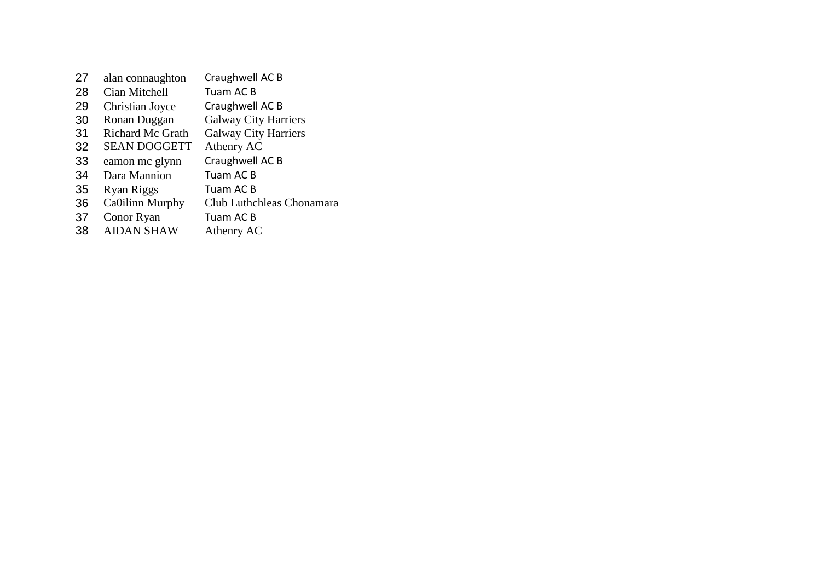| alan connaughton        | Craughwell AC B             |
|-------------------------|-----------------------------|
| Cian Mitchell           | Tuam AC B                   |
| Christian Joyce         | Craughwell AC B             |
| Ronan Duggan            | <b>Galway City Harriers</b> |
| <b>Richard Mc Grath</b> | <b>Galway City Harriers</b> |
| <b>SEAN DOGGETT</b>     | Athenry AC                  |
| eamon mc glynn          | Craughwell AC B             |
| Dara Mannion            | Tuam AC B                   |
| Ryan Riggs              | Tuam AC B                   |
| Ca0ilinn Murphy         | Club Luthchleas Chonamara   |
| Conor Ryan              | Tuam AC B                   |
| <b>AIDAN SHAW</b>       | Athenry AC                  |
|                         |                             |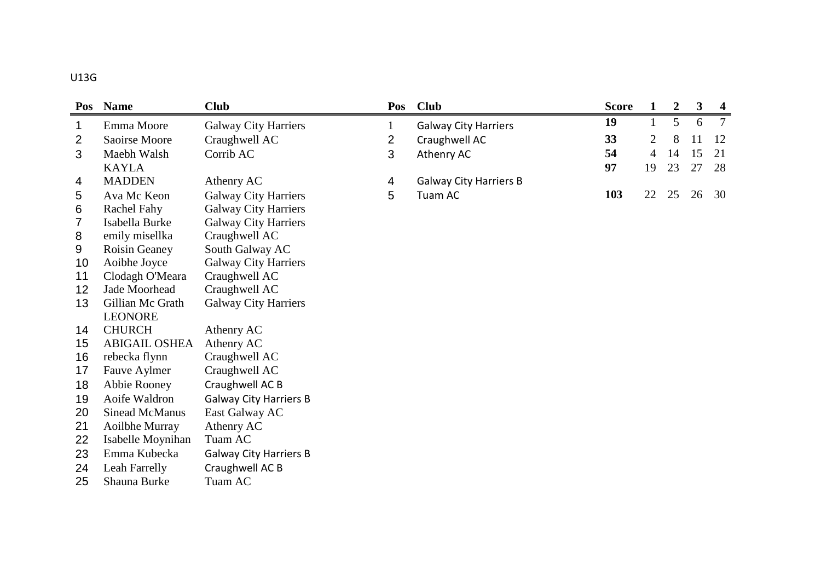| Pos | <b>Name</b>           | <b>Club</b>                   | Pos            | <b>Club</b>                   | <b>Score</b> | 1            | $\boldsymbol{2}$ | $\mathbf{3}$ | $\overline{\mathbf{4}}$ |
|-----|-----------------------|-------------------------------|----------------|-------------------------------|--------------|--------------|------------------|--------------|-------------------------|
| 1   | Emma Moore            | <b>Galway City Harriers</b>   | $\mathbf{1}$   | <b>Galway City Harriers</b>   | 19           | $\mathbf{1}$ | 5                | 6            | $\overline{7}$          |
| 2   | Saoirse Moore         | Craughwell AC                 | $\overline{2}$ | Craughwell AC                 | 33           | 2            | 8                | 11           | 12                      |
| 3   | Maebh Walsh           | Corrib AC                     | 3              | Athenry AC                    | 54           | 4            | 14               | 15           | 21                      |
|     | <b>KAYLA</b>          |                               |                |                               | 97           | 19           | 23               | 27           | 28                      |
| 4   | <b>MADDEN</b>         | Athenry AC                    | 4              | <b>Galway City Harriers B</b> |              |              |                  |              |                         |
| 5   | Ava Mc Keon           | Galway City Harriers          | 5              | Tuam AC                       | 103          | 22           | 25               | 26           | 30                      |
| 6   | <b>Rachel Fahy</b>    | <b>Galway City Harriers</b>   |                |                               |              |              |                  |              |                         |
| 7   | Isabella Burke        | <b>Galway City Harriers</b>   |                |                               |              |              |                  |              |                         |
| 8   | emily misellka        | Craughwell AC                 |                |                               |              |              |                  |              |                         |
| 9   | Roisin Geaney         | South Galway AC               |                |                               |              |              |                  |              |                         |
| 10  | Aoibhe Joyce          | <b>Galway City Harriers</b>   |                |                               |              |              |                  |              |                         |
| 11  | Clodagh O'Meara       | Craughwell AC                 |                |                               |              |              |                  |              |                         |
| 12  | Jade Moorhead         | Craughwell AC                 |                |                               |              |              |                  |              |                         |
| 13  | Gillian Mc Grath      | <b>Galway City Harriers</b>   |                |                               |              |              |                  |              |                         |
|     | <b>LEONORE</b>        |                               |                |                               |              |              |                  |              |                         |
| 14  | <b>CHURCH</b>         | Athenry AC                    |                |                               |              |              |                  |              |                         |
| 15  | <b>ABIGAIL OSHEA</b>  | Athenry AC                    |                |                               |              |              |                  |              |                         |
| 16  | rebecka flynn         | Craughwell AC                 |                |                               |              |              |                  |              |                         |
| 17  | Fauve Aylmer          | Craughwell AC                 |                |                               |              |              |                  |              |                         |
| 18  | Abbie Rooney          | Craughwell AC B               |                |                               |              |              |                  |              |                         |
| 19  | Aoife Waldron         | <b>Galway City Harriers B</b> |                |                               |              |              |                  |              |                         |
| 20  | <b>Sinead McManus</b> | East Galway AC                |                |                               |              |              |                  |              |                         |
| 21  | Aoilbhe Murray        | Athenry AC                    |                |                               |              |              |                  |              |                         |
| 22  | Isabelle Moynihan     | Tuam AC                       |                |                               |              |              |                  |              |                         |
| 23  | Emma Kubecka          | <b>Galway City Harriers B</b> |                |                               |              |              |                  |              |                         |
| 24  | Leah Farrelly         | Craughwell AC B               |                |                               |              |              |                  |              |                         |
| 25  | Shauna Burke          | Tuam AC                       |                |                               |              |              |                  |              |                         |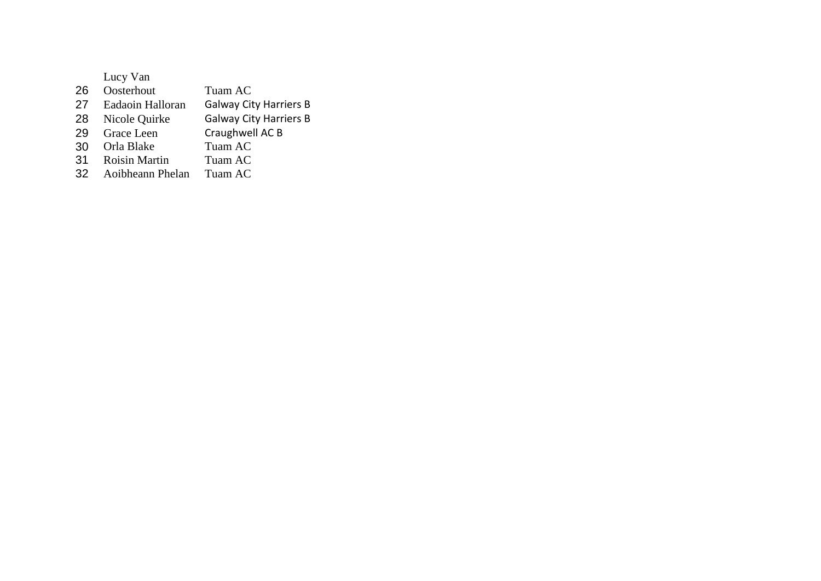| Lucy Van             |                               |
|----------------------|-------------------------------|
| Oosterhout           | Tuam AC                       |
| Eadaoin Halloran     | <b>Galway City Harriers B</b> |
| Nicole Quirke        | <b>Galway City Harriers B</b> |
| Grace Leen           | Craughwell AC B               |
| Orla Blake           | Tuam AC                       |
| <b>Roisin Martin</b> | Tuam AC                       |
| Aoibheann Phelan     | Tuam AC                       |
|                      |                               |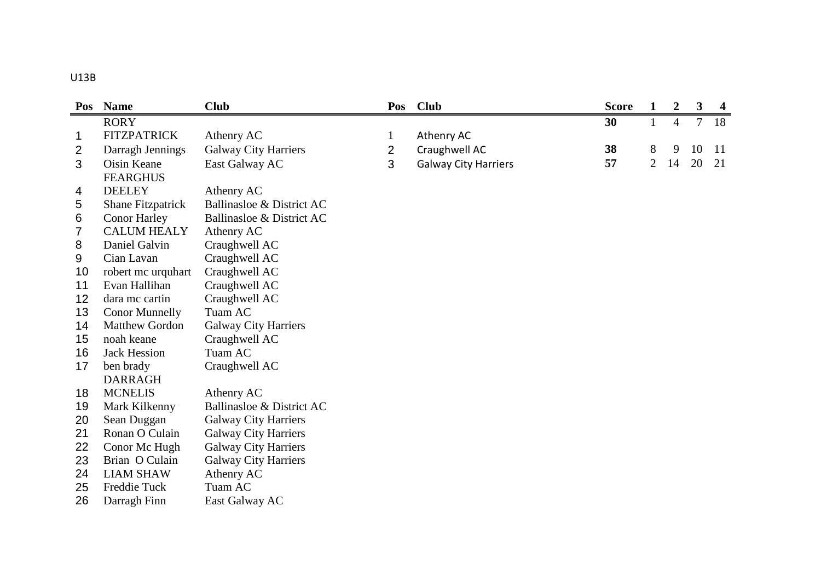| ×<br>۰. | ×<br>۰. |
|---------|---------|
|---------|---------|

| Pos | <b>Name</b>              | <b>Club</b><br><b>Club</b><br>Pos |                |                             | <b>Score</b> | 1              | $\overline{2}$ | 3      | $\overline{\mathbf{4}}$ |
|-----|--------------------------|-----------------------------------|----------------|-----------------------------|--------------|----------------|----------------|--------|-------------------------|
|     | <b>RORY</b>              |                                   |                |                             | 30           | $\mathbf{1}$   | $\overline{4}$ | $\tau$ | 18                      |
| 1   | <b>FITZPATRICK</b>       | Athenry AC                        | $\mathbf{1}$   | Athenry AC                  |              |                |                |        |                         |
| 2   | Darragh Jennings         | <b>Galway City Harriers</b>       | $\overline{2}$ | Craughwell AC               | 38           | 8              | 9              | 10     | <sup>11</sup>           |
| 3   | Oisin Keane              | East Galway AC                    | 3              | <b>Galway City Harriers</b> | 57           | $\overline{2}$ | 14             | 20     | 21                      |
|     | <b>FEARGHUS</b>          |                                   |                |                             |              |                |                |        |                         |
| 4   | <b>DEELEY</b>            | Athenry AC                        |                |                             |              |                |                |        |                         |
| 5   | <b>Shane Fitzpatrick</b> | Ballinasloe & District AC         |                |                             |              |                |                |        |                         |
| 6   | <b>Conor Harley</b>      | Ballinasloe & District AC         |                |                             |              |                |                |        |                         |
| 7   | <b>CALUM HEALY</b>       | Athenry AC                        |                |                             |              |                |                |        |                         |
| 8   | Daniel Galvin            | Craughwell AC                     |                |                             |              |                |                |        |                         |
| 9   | Cian Lavan               | Craughwell AC                     |                |                             |              |                |                |        |                         |
| 10  | robert mc urquhart       | Craughwell AC                     |                |                             |              |                |                |        |                         |
| 11  | Evan Hallihan            | Craughwell AC                     |                |                             |              |                |                |        |                         |
| 12  | dara mc cartin           | Craughwell AC                     |                |                             |              |                |                |        |                         |
| 13  | <b>Conor Munnelly</b>    | Tuam AC                           |                |                             |              |                |                |        |                         |
| 14  | <b>Matthew Gordon</b>    | <b>Galway City Harriers</b>       |                |                             |              |                |                |        |                         |
| 15  | noah keane               | Craughwell AC                     |                |                             |              |                |                |        |                         |
| 16  | <b>Jack Hession</b>      | Tuam AC                           |                |                             |              |                |                |        |                         |
| 17  | ben brady                | Craughwell AC                     |                |                             |              |                |                |        |                         |
|     | <b>DARRAGH</b>           |                                   |                |                             |              |                |                |        |                         |
| 18  | <b>MCNELIS</b>           | Athenry AC                        |                |                             |              |                |                |        |                         |
| 19  | Mark Kilkenny            | Ballinasloe & District AC         |                |                             |              |                |                |        |                         |
| 20  | Sean Duggan              | <b>Galway City Harriers</b>       |                |                             |              |                |                |        |                         |
| 21  | Ronan O Culain           | <b>Galway City Harriers</b>       |                |                             |              |                |                |        |                         |
| 22  | Conor Mc Hugh            | <b>Galway City Harriers</b>       |                |                             |              |                |                |        |                         |
| 23  | Brian O Culain           | <b>Galway City Harriers</b>       |                |                             |              |                |                |        |                         |
| 24  | <b>LIAM SHAW</b>         | Athenry AC                        |                |                             |              |                |                |        |                         |
| 25  | Freddie Tuck             | Tuam AC                           |                |                             |              |                |                |        |                         |
| 26  | Darragh Finn             | East Galway AC                    |                |                             |              |                |                |        |                         |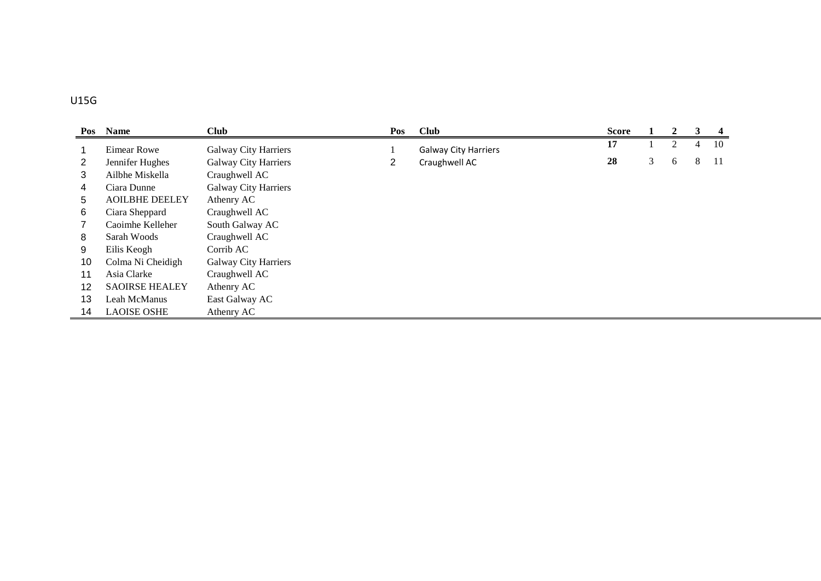## U15G

|    | Pos Name              | <b>Club</b><br><b>Club</b><br>Pos |                |                             | <b>Score</b> |   | $\mathbf{2}$ | 3 | 4   |
|----|-----------------------|-----------------------------------|----------------|-----------------------------|--------------|---|--------------|---|-----|
|    | <b>Eimear Rowe</b>    | Galway City Harriers              |                | <b>Galway City Harriers</b> | 17           |   | 2            | 4 | 10  |
| 2  | Jennifer Hughes       | <b>Galway City Harriers</b>       | $\overline{2}$ | Craughwell AC               | 28           | 3 | 6            | 8 | -11 |
| 3  | Ailbhe Miskella       | Craughwell AC                     |                |                             |              |   |              |   |     |
| 4  | Ciara Dunne           | <b>Galway City Harriers</b>       |                |                             |              |   |              |   |     |
| 5. | <b>AOILBHE DEELEY</b> | Athenry AC                        |                |                             |              |   |              |   |     |
| 6  | Ciara Sheppard        | Craughwell AC                     |                |                             |              |   |              |   |     |
|    | Caoimhe Kelleher      | South Galway AC                   |                |                             |              |   |              |   |     |
| 8  | Sarah Woods           | Craughwell AC                     |                |                             |              |   |              |   |     |
| 9  | Eilis Keogh           | Corrib AC                         |                |                             |              |   |              |   |     |
| 10 | Colma Ni Cheidigh     | Galway City Harriers              |                |                             |              |   |              |   |     |
| 11 | Asia Clarke           | Craughwell AC                     |                |                             |              |   |              |   |     |
| 12 | <b>SAOIRSE HEALEY</b> | Athenry AC                        |                |                             |              |   |              |   |     |
| 13 | Leah McManus          | East Galway AC                    |                |                             |              |   |              |   |     |
| 14 | <b>LAOISE OSHE</b>    | Athenry AC                        |                |                             |              |   |              |   |     |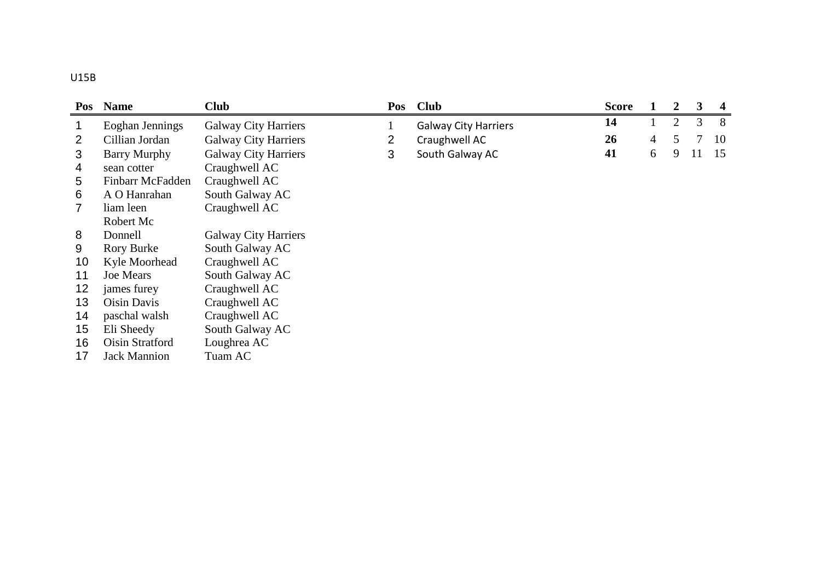|    | Pos Name            | <b>Club</b>                 |   | Pos Club                    | <b>Score</b> |                | 2              | 3  | 4  |
|----|---------------------|-----------------------------|---|-----------------------------|--------------|----------------|----------------|----|----|
|    | Eoghan Jennings     | <b>Galway City Harriers</b> |   | <b>Galway City Harriers</b> | 14           |                | $\overline{2}$ | 3  | 8  |
|    | Cillian Jordan      | <b>Galway City Harriers</b> | 2 | Craughwell AC               | 26           | $\overline{4}$ | 5.             |    | 10 |
| 3  | <b>Barry Murphy</b> | <b>Galway City Harriers</b> | 3 | South Galway AC             | 41           | 6              | 9              | 11 | 15 |
| 4  | sean cotter         | Craughwell AC               |   |                             |              |                |                |    |    |
| 5  | Finbarr McFadden    | Craughwell AC               |   |                             |              |                |                |    |    |
| 6  | A O Hanrahan        | South Galway AC             |   |                             |              |                |                |    |    |
| 7  | liam leen           | Craughwell AC               |   |                             |              |                |                |    |    |
|    | Robert Mc           |                             |   |                             |              |                |                |    |    |
| 8  | Donnell             | <b>Galway City Harriers</b> |   |                             |              |                |                |    |    |
| 9  | <b>Rory Burke</b>   | South Galway AC             |   |                             |              |                |                |    |    |
| 10 | Kyle Moorhead       | Craughwell AC               |   |                             |              |                |                |    |    |
| 11 | <b>Joe Mears</b>    | South Galway AC             |   |                             |              |                |                |    |    |
| 12 | james furey         | Craughwell AC               |   |                             |              |                |                |    |    |
| 13 | Oisin Davis         | Craughwell AC               |   |                             |              |                |                |    |    |
| 14 | paschal walsh       | Craughwell AC               |   |                             |              |                |                |    |    |
| 15 | Eli Sheedy          | South Galway AC             |   |                             |              |                |                |    |    |
| 16 | Oisin Stratford     | Loughrea AC                 |   |                             |              |                |                |    |    |
| 17 | <b>Jack Mannion</b> | Tuam AC                     |   |                             |              |                |                |    |    |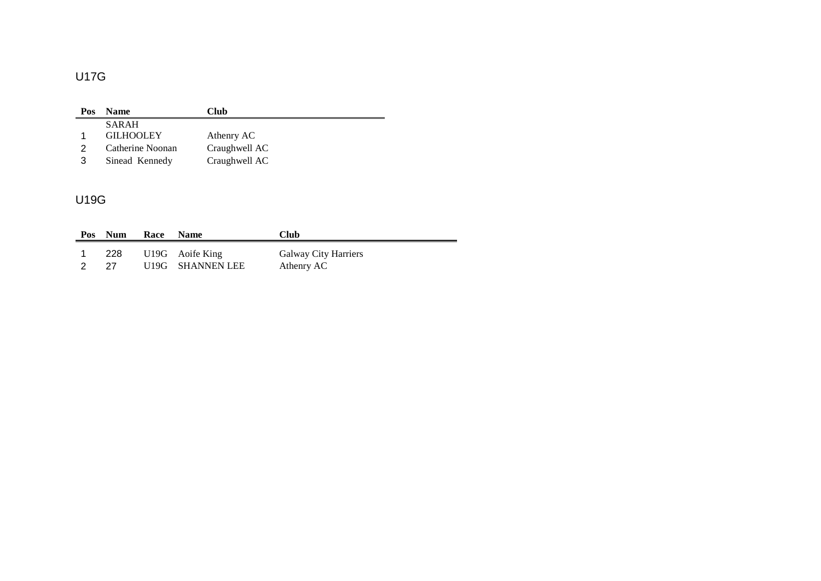# U17G

| Pos | <b>Name</b>      | Club          |
|-----|------------------|---------------|
|     | <b>SARAH</b>     |               |
|     | <b>GILHOOLEY</b> | Athenry AC    |
|     | Catherine Noonan | Craughwell AC |
| 3   | Sinead Kennedy   | Craughwell AC |

## U19G

| Pos | <b>Num</b> | Race | <b>Name</b>      | <b>Club</b>                 |
|-----|------------|------|------------------|-----------------------------|
|     | 228        |      | U19G Aoife King  | <b>Galway City Harriers</b> |
|     | 27         |      | U19G SHANNEN LEE | Athenry AC                  |